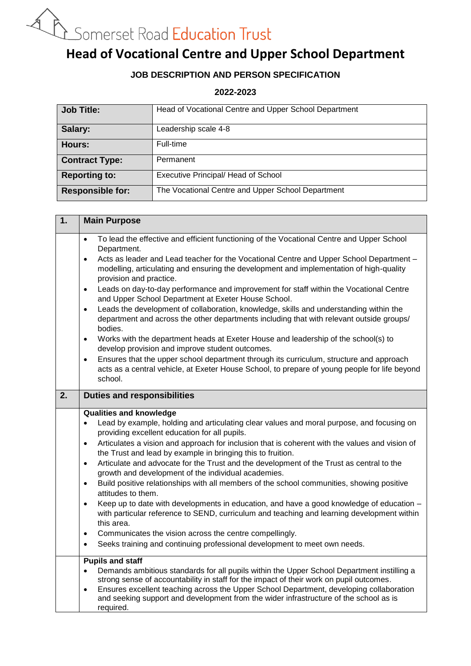# **A Bomerset Road Education Trust**<br> **Head of Vocational Centre and Upper School Department**

# **JOB DESCRIPTION AND PERSON SPECIFICATION**

### **2022-2023**

| <b>Job Title:</b>       | Head of Vocational Centre and Upper School Department |
|-------------------------|-------------------------------------------------------|
| Salary:                 | Leadership scale 4-8                                  |
| Hours:                  | Full-time                                             |
| <b>Contract Type:</b>   | Permanent                                             |
| <b>Reporting to:</b>    | Executive Principal/ Head of School                   |
| <b>Responsible for:</b> | The Vocational Centre and Upper School Department     |

| 1. | <b>Main Purpose</b>                                                                                                                                                                                                                                                                                                                                                                                                                                                                                                                                                                                                                                                                                                                                                                                                                                                                                                                                                                                                                                                                                       |
|----|-----------------------------------------------------------------------------------------------------------------------------------------------------------------------------------------------------------------------------------------------------------------------------------------------------------------------------------------------------------------------------------------------------------------------------------------------------------------------------------------------------------------------------------------------------------------------------------------------------------------------------------------------------------------------------------------------------------------------------------------------------------------------------------------------------------------------------------------------------------------------------------------------------------------------------------------------------------------------------------------------------------------------------------------------------------------------------------------------------------|
|    | To lead the effective and efficient functioning of the Vocational Centre and Upper School<br>$\bullet$<br>Department.<br>Acts as leader and Lead teacher for the Vocational Centre and Upper School Department -<br>$\bullet$<br>modelling, articulating and ensuring the development and implementation of high-quality<br>provision and practice.<br>Leads on day-to-day performance and improvement for staff within the Vocational Centre<br>$\bullet$<br>and Upper School Department at Exeter House School.<br>Leads the development of collaboration, knowledge, skills and understanding within the<br>$\bullet$<br>department and across the other departments including that with relevant outside groups/<br>bodies.<br>Works with the department heads at Exeter House and leadership of the school(s) to<br>$\bullet$<br>develop provision and improve student outcomes.<br>Ensures that the upper school department through its curriculum, structure and approach<br>$\bullet$<br>acts as a central vehicle, at Exeter House School, to prepare of young people for life beyond<br>school. |
| 2. | <b>Duties and responsibilities</b>                                                                                                                                                                                                                                                                                                                                                                                                                                                                                                                                                                                                                                                                                                                                                                                                                                                                                                                                                                                                                                                                        |
|    | <b>Qualities and knowledge</b><br>Lead by example, holding and articulating clear values and moral purpose, and focusing on<br>providing excellent education for all pupils.<br>Articulates a vision and approach for inclusion that is coherent with the values and vision of<br>$\bullet$<br>the Trust and lead by example in bringing this to fruition.<br>Articulate and advocate for the Trust and the development of the Trust as central to the<br>$\bullet$<br>growth and development of the individual academies.<br>Build positive relationships with all members of the school communities, showing positive<br>$\bullet$<br>attitudes to them.<br>Keep up to date with developments in education, and have a good knowledge of education -<br>$\bullet$<br>with particular reference to SEND, curriculum and teaching and learning development within<br>this area.<br>Communicates the vision across the centre compellingly.<br>$\bullet$<br>Seeks training and continuing professional development to meet own needs.<br>$\bullet$                                                         |
|    | <b>Pupils and staff</b><br>Demands ambitious standards for all pupils within the Upper School Department instilling a<br>$\bullet$<br>strong sense of accountability in staff for the impact of their work on pupil outcomes.<br>Ensures excellent teaching across the Upper School Department, developing collaboration<br>$\bullet$<br>and seeking support and development from the wider infrastructure of the school as is<br>required.                                                                                                                                                                                                                                                                                                                                                                                                                                                                                                                                                                                                                                                               |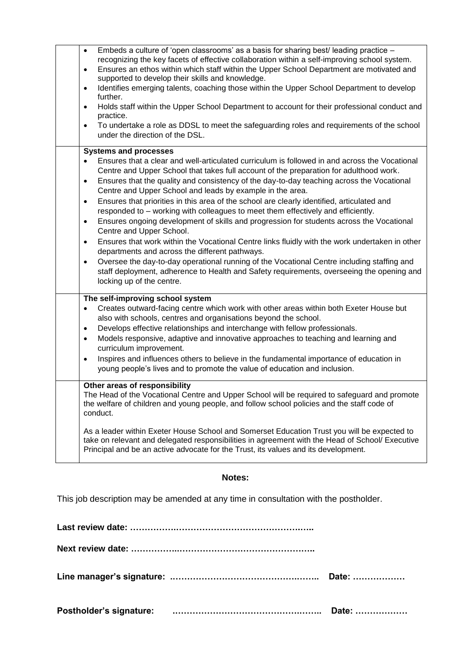| Embeds a culture of 'open classrooms' as a basis for sharing best/ leading practice -<br>$\bullet$<br>recognizing the key facets of effective collaboration within a self-improving school system.<br>Ensures an ethos within which staff within the Upper School Department are motivated and<br>$\bullet$<br>supported to develop their skills and knowledge.<br>Identifies emerging talents, coaching those within the Upper School Department to develop<br>$\bullet$<br>further.<br>Holds staff within the Upper School Department to account for their professional conduct and<br>$\bullet$<br>practice.<br>To undertake a role as DDSL to meet the safeguarding roles and requirements of the school<br>$\bullet$<br>under the direction of the DSL.                                                                                                                                                                                                                                                                                                                                                             |
|--------------------------------------------------------------------------------------------------------------------------------------------------------------------------------------------------------------------------------------------------------------------------------------------------------------------------------------------------------------------------------------------------------------------------------------------------------------------------------------------------------------------------------------------------------------------------------------------------------------------------------------------------------------------------------------------------------------------------------------------------------------------------------------------------------------------------------------------------------------------------------------------------------------------------------------------------------------------------------------------------------------------------------------------------------------------------------------------------------------------------|
| <b>Systems and processes</b><br>Ensures that a clear and well-articulated curriculum is followed in and across the Vocational<br>Centre and Upper School that takes full account of the preparation for adulthood work.<br>Ensures that the quality and consistency of the day-to-day teaching across the Vocational<br>٠<br>Centre and Upper School and leads by example in the area.<br>Ensures that priorities in this area of the school are clearly identified, articulated and<br>$\bullet$<br>responded to - working with colleagues to meet them effectively and efficiently.<br>Ensures ongoing development of skills and progression for students across the Vocational<br>$\bullet$<br>Centre and Upper School.<br>Ensures that work within the Vocational Centre links fluidly with the work undertaken in other<br>$\bullet$<br>departments and across the different pathways.<br>Oversee the day-to-day operational running of the Vocational Centre including staffing and<br>٠<br>staff deployment, adherence to Health and Safety requirements, overseeing the opening and<br>locking up of the centre. |
| The self-improving school system<br>Creates outward-facing centre which work with other areas within both Exeter House but<br>also with schools, centres and organisations beyond the school.<br>Develops effective relationships and interchange with fellow professionals.<br>٠<br>Models responsive, adaptive and innovative approaches to teaching and learning and<br>$\bullet$<br>curriculum improvement.<br>Inspires and influences others to believe in the fundamental importance of education in<br>$\bullet$<br>young people's lives and to promote the value of education and inclusion.<br>Other areas of responsibility<br>The Head of the Vocational Centre and Upper School will be required to safeguard and promote<br>the welfare of children and young people, and follow school policies and the staff code of<br>conduct.                                                                                                                                                                                                                                                                          |
| As a leader within Exeter House School and Somerset Education Trust you will be expected to<br>take on relevant and delegated responsibilities in agreement with the Head of School/ Executive<br>Principal and be an active advocate for the Trust, its values and its development.                                                                                                                                                                                                                                                                                                                                                                                                                                                                                                                                                                                                                                                                                                                                                                                                                                     |

### **Notes:**

This job description may be amended at any time in consultation with the postholder.

**Last review date: …………….…………………………………….….. Next review date: ……………..……………………………………….. Line manager's signature: .…………………………………….…….. Date: ……………… Postholder's signature: .…………………………………….…….. Date: ………………**